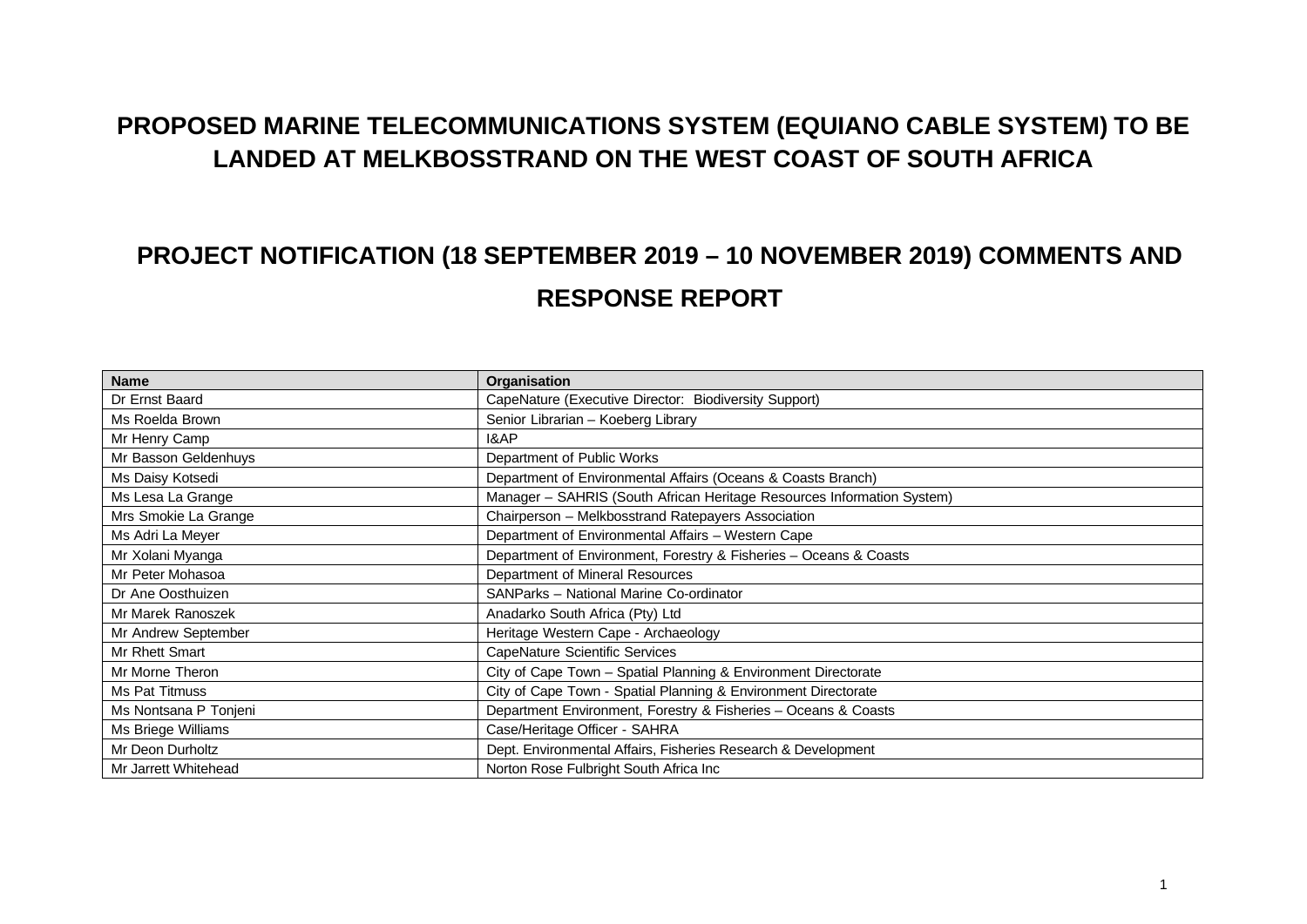## **PROPOSED MARINE TELECOMMUNICATIONS SYSTEM (EQUIANO CABLE SYSTEM) TO BE LANDED AT MELKBOSSTRAND ON THE WEST COAST OF SOUTH AFRICA**

## **PROJECT NOTIFICATION (18 SEPTEMBER 2019 – 10 NOVEMBER 2019) COMMENTS AND RESPONSE REPORT**

| <b>Name</b>           | Organisation                                                           |
|-----------------------|------------------------------------------------------------------------|
| Dr Ernst Baard        | CapeNature (Executive Director: Biodiversity Support)                  |
| Ms Roelda Brown       | Senior Librarian - Koeberg Library                                     |
| Mr Henry Camp         | <b>I&amp;AP</b>                                                        |
| Mr Basson Geldenhuys  | Department of Public Works                                             |
| Ms Daisy Kotsedi      | Department of Environmental Affairs (Oceans & Coasts Branch)           |
| Ms Lesa La Grange     | Manager - SAHRIS (South African Heritage Resources Information System) |
| Mrs Smokie La Grange  | Chairperson - Melkbosstrand Ratepayers Association                     |
| Ms Adri La Meyer      | Department of Environmental Affairs - Western Cape                     |
| Mr Xolani Myanga      | Department of Environment, Forestry & Fisheries - Oceans & Coasts      |
| Mr Peter Mohasoa      | Department of Mineral Resources                                        |
| Dr Ane Oosthuizen     | SANParks - National Marine Co-ordinator                                |
| Mr Marek Ranoszek     | Anadarko South Africa (Pty) Ltd                                        |
| Mr Andrew September   | Heritage Western Cape - Archaeology                                    |
| Mr Rhett Smart        | CapeNature Scientific Services                                         |
| Mr Morne Theron       | City of Cape Town - Spatial Planning & Environment Directorate         |
| Ms Pat Titmuss        | City of Cape Town - Spatial Planning & Environment Directorate         |
| Ms Nontsana P Tonjeni | Department Environment, Forestry & Fisheries - Oceans & Coasts         |
| Ms Briege Williams    | Case/Heritage Officer - SAHRA                                          |
| Mr Deon Durholtz      | Dept. Environmental Affairs, Fisheries Research & Development          |
| Mr Jarrett Whitehead  | Norton Rose Fulbright South Africa Inc                                 |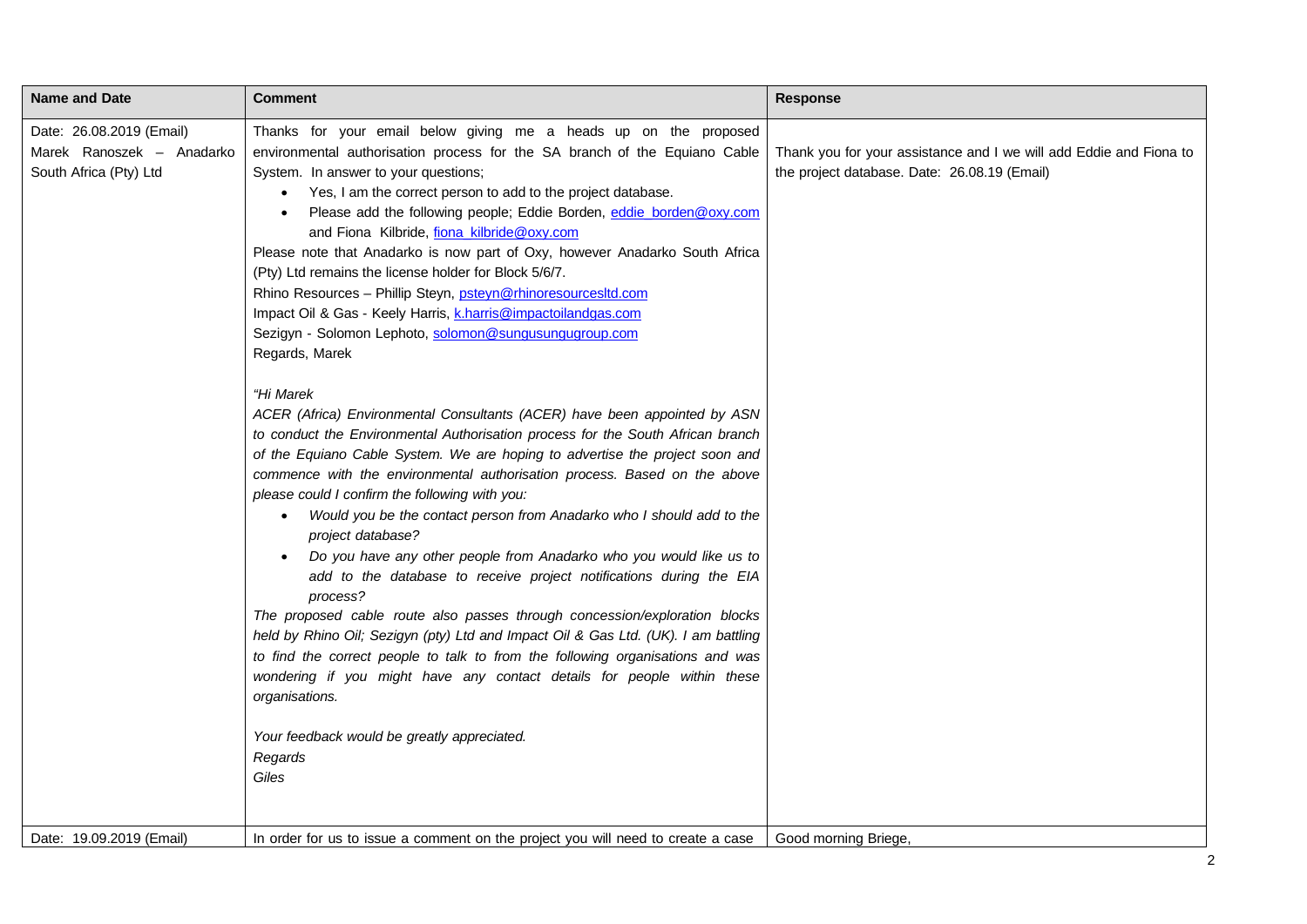| <b>Name and Date</b>                                                            | <b>Comment</b>                                                                                                                                                                                                                                                                                                                                                                                                                                                                                                                                                                                                                                                                                                                                                                                                                                                                                                                                                                                                                                                                      | <b>Response</b>                                                                                                    |
|---------------------------------------------------------------------------------|-------------------------------------------------------------------------------------------------------------------------------------------------------------------------------------------------------------------------------------------------------------------------------------------------------------------------------------------------------------------------------------------------------------------------------------------------------------------------------------------------------------------------------------------------------------------------------------------------------------------------------------------------------------------------------------------------------------------------------------------------------------------------------------------------------------------------------------------------------------------------------------------------------------------------------------------------------------------------------------------------------------------------------------------------------------------------------------|--------------------------------------------------------------------------------------------------------------------|
| Date: 26.08.2019 (Email)<br>Marek Ranoszek – Anadarko<br>South Africa (Pty) Ltd | Thanks for your email below giving me a heads up on the proposed<br>environmental authorisation process for the SA branch of the Equiano Cable<br>System. In answer to your questions;<br>Yes, I am the correct person to add to the project database.<br>Please add the following people; Eddie Borden, eddie borden@oxy.com<br>and Fiona Kilbride, fiona kilbride@oxy.com<br>Please note that Anadarko is now part of Oxy, however Anadarko South Africa<br>(Pty) Ltd remains the license holder for Block 5/6/7.<br>Rhino Resources - Phillip Steyn, psteyn@rhinoresourcesltd.com<br>Impact Oil & Gas - Keely Harris, k.harris@impactoilandgas.com<br>Sezigyn - Solomon Lephoto, solomon@sungusungugroup.com<br>Regards, Marek                                                                                                                                                                                                                                                                                                                                                   | Thank you for your assistance and I we will add Eddie and Fiona to<br>the project database. Date: 26.08.19 (Email) |
|                                                                                 | "Hi Marek<br>ACER (Africa) Environmental Consultants (ACER) have been appointed by ASN<br>to conduct the Environmental Authorisation process for the South African branch<br>of the Equiano Cable System. We are hoping to advertise the project soon and<br>commence with the environmental authorisation process. Based on the above<br>please could I confirm the following with you:<br>Would you be the contact person from Anadarko who I should add to the<br>$\bullet$<br>project database?<br>Do you have any other people from Anadarko who you would like us to<br>add to the database to receive project notifications during the EIA<br>process?<br>The proposed cable route also passes through concession/exploration blocks<br>held by Rhino Oil; Sezigyn (pty) Ltd and Impact Oil & Gas Ltd. (UK). I am battling<br>to find the correct people to talk to from the following organisations and was<br>wondering if you might have any contact details for people within these<br>organisations.<br>Your feedback would be greatly appreciated.<br>Regards<br>Giles |                                                                                                                    |
| Date: 19.09.2019 (Email)                                                        | In order for us to issue a comment on the project you will need to create a case                                                                                                                                                                                                                                                                                                                                                                                                                                                                                                                                                                                                                                                                                                                                                                                                                                                                                                                                                                                                    | Good morning Briege,                                                                                               |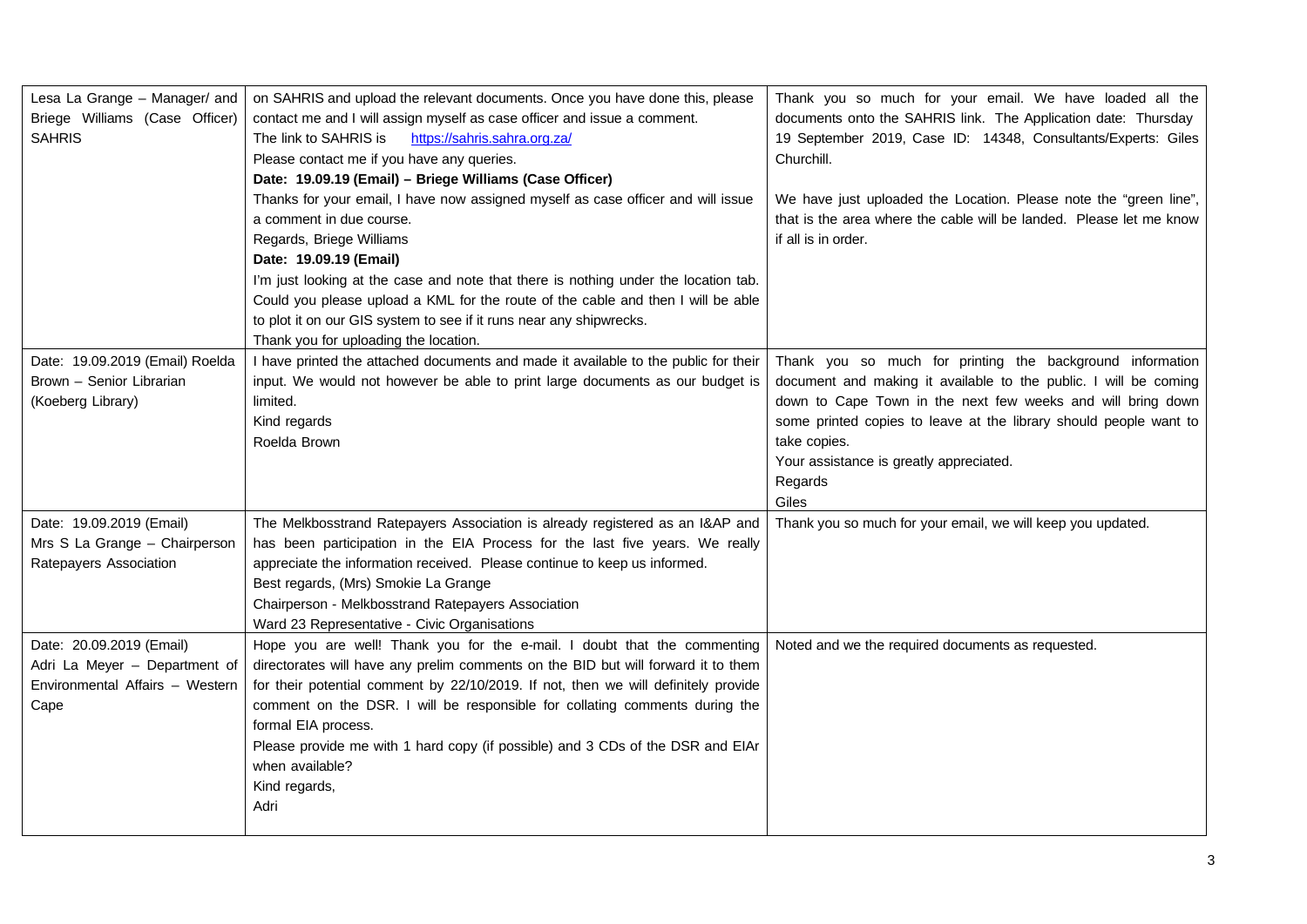| Lesa La Grange - Manager/ and<br>Briege Williams (Case Officer)<br><b>SAHRIS</b>                     | on SAHRIS and upload the relevant documents. Once you have done this, please<br>contact me and I will assign myself as case officer and issue a comment.<br>The link to SAHRIS is<br>https://sahris.sahra.org.za/<br>Please contact me if you have any queries.<br>Date: 19.09.19 (Email) - Briege Williams (Case Officer)<br>Thanks for your email, I have now assigned myself as case officer and will issue<br>a comment in due course.<br>Regards, Briege Williams<br>Date: 19.09.19 (Email)<br>I'm just looking at the case and note that there is nothing under the location tab.<br>Could you please upload a KML for the route of the cable and then I will be able<br>to plot it on our GIS system to see if it runs near any shipwrecks.<br>Thank you for uploading the location. | Thank you so much for your email. We have loaded all the<br>documents onto the SAHRIS link. The Application date: Thursday<br>19 September 2019, Case ID: 14348, Consultants/Experts: Giles<br>Churchill.<br>We have just uploaded the Location. Please note the "green line",<br>that is the area where the cable will be landed. Please let me know<br>if all is in order. |
|------------------------------------------------------------------------------------------------------|---------------------------------------------------------------------------------------------------------------------------------------------------------------------------------------------------------------------------------------------------------------------------------------------------------------------------------------------------------------------------------------------------------------------------------------------------------------------------------------------------------------------------------------------------------------------------------------------------------------------------------------------------------------------------------------------------------------------------------------------------------------------------------------------|------------------------------------------------------------------------------------------------------------------------------------------------------------------------------------------------------------------------------------------------------------------------------------------------------------------------------------------------------------------------------|
| Date: 19.09.2019 (Email) Roelda<br>Brown - Senior Librarian<br>(Koeberg Library)                     | I have printed the attached documents and made it available to the public for their<br>input. We would not however be able to print large documents as our budget is<br>limited.<br>Kind regards<br>Roelda Brown                                                                                                                                                                                                                                                                                                                                                                                                                                                                                                                                                                            | Thank you so much for printing the background information<br>document and making it available to the public. I will be coming<br>down to Cape Town in the next few weeks and will bring down<br>some printed copies to leave at the library should people want to<br>take copies.<br>Your assistance is greatly appreciated.<br>Regards<br>Giles                             |
| Date: 19.09.2019 (Email)<br>Mrs S La Grange - Chairperson<br>Ratepayers Association                  | The Melkbosstrand Ratepayers Association is already registered as an I&AP and<br>has been participation in the EIA Process for the last five years. We really<br>appreciate the information received. Please continue to keep us informed.<br>Best regards, (Mrs) Smokie La Grange<br>Chairperson - Melkbosstrand Ratepayers Association<br>Ward 23 Representative - Civic Organisations                                                                                                                                                                                                                                                                                                                                                                                                    | Thank you so much for your email, we will keep you updated.                                                                                                                                                                                                                                                                                                                  |
| Date: 20.09.2019 (Email)<br>Adri La Meyer - Department of<br>Environmental Affairs - Western<br>Cape | Hope you are well! Thank you for the e-mail. I doubt that the commenting<br>directorates will have any prelim comments on the BID but will forward it to them<br>for their potential comment by 22/10/2019. If not, then we will definitely provide<br>comment on the DSR. I will be responsible for collating comments during the<br>formal EIA process.<br>Please provide me with 1 hard copy (if possible) and 3 CDs of the DSR and EIAr<br>when available?<br>Kind regards,<br>Adri                                                                                                                                                                                                                                                                                                     | Noted and we the required documents as requested.                                                                                                                                                                                                                                                                                                                            |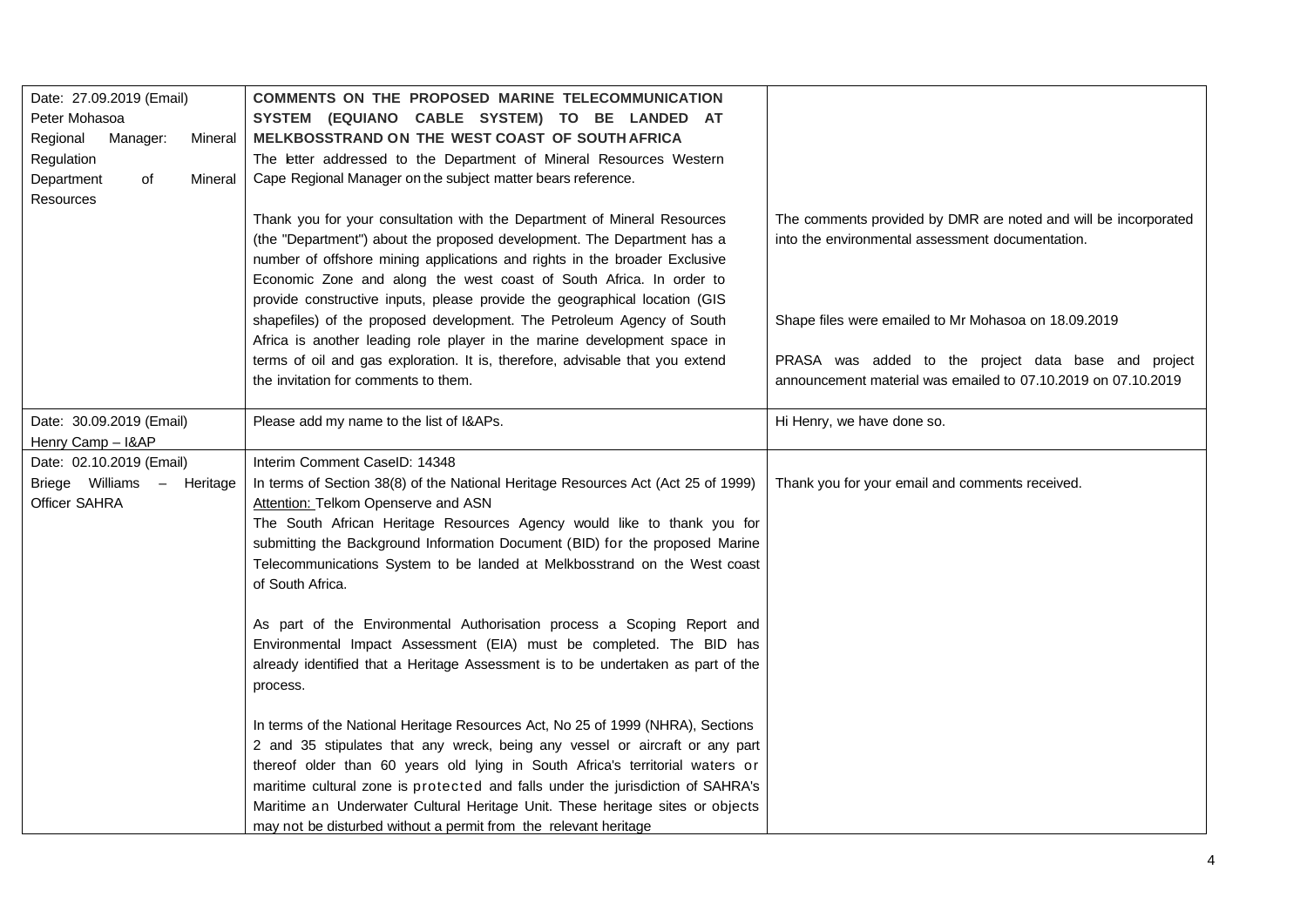| Date: 27.09.2019 (Email)<br>Peter Mohasoa<br>Regional<br>Manager:<br>Mineral | COMMENTS ON THE PROPOSED MARINE TELECOMMUNICATION<br>SYSTEM (EQUIANO CABLE SYSTEM) TO BE LANDED AT<br>MELKBOSSTRAND ON THE WEST COAST OF SOUTH AFRICA                                                                                                                                                                                                                                                                                                                                     |                                                                                                                       |
|------------------------------------------------------------------------------|-------------------------------------------------------------------------------------------------------------------------------------------------------------------------------------------------------------------------------------------------------------------------------------------------------------------------------------------------------------------------------------------------------------------------------------------------------------------------------------------|-----------------------------------------------------------------------------------------------------------------------|
| Regulation<br>Department<br>of<br>Mineral<br>Resources                       | The letter addressed to the Department of Mineral Resources Western<br>Cape Regional Manager on the subject matter bears reference.                                                                                                                                                                                                                                                                                                                                                       |                                                                                                                       |
|                                                                              | Thank you for your consultation with the Department of Mineral Resources<br>(the "Department") about the proposed development. The Department has a<br>number of offshore mining applications and rights in the broader Exclusive<br>Economic Zone and along the west coast of South Africa. In order to<br>provide constructive inputs, please provide the geographical location (GIS                                                                                                    | The comments provided by DMR are noted and will be incorporated<br>into the environmental assessment documentation.   |
|                                                                              | shapefiles) of the proposed development. The Petroleum Agency of South<br>Africa is another leading role player in the marine development space in                                                                                                                                                                                                                                                                                                                                        | Shape files were emailed to Mr Mohasoa on 18.09.2019                                                                  |
|                                                                              | terms of oil and gas exploration. It is, therefore, advisable that you extend<br>the invitation for comments to them.                                                                                                                                                                                                                                                                                                                                                                     | PRASA was added to the project data base and project<br>announcement material was emailed to 07.10.2019 on 07.10.2019 |
| Date: 30.09.2019 (Email)<br>Henry Camp - I&AP                                | Please add my name to the list of I&APs.                                                                                                                                                                                                                                                                                                                                                                                                                                                  | Hi Henry, we have done so.                                                                                            |
| Date: 02.10.2019 (Email)<br>Briege Williams - Heritage<br>Officer SAHRA      | Interim Comment CaseID: 14348<br>In terms of Section 38(8) of the National Heritage Resources Act (Act 25 of 1999)<br>Attention: Telkom Openserve and ASN<br>The South African Heritage Resources Agency would like to thank you for<br>submitting the Background Information Document (BID) for the proposed Marine<br>Telecommunications System to be landed at Melkbosstrand on the West coast<br>of South Africa.                                                                     | Thank you for your email and comments received.                                                                       |
|                                                                              | As part of the Environmental Authorisation process a Scoping Report and<br>Environmental Impact Assessment (EIA) must be completed. The BID has<br>already identified that a Heritage Assessment is to be undertaken as part of the<br>process.                                                                                                                                                                                                                                           |                                                                                                                       |
|                                                                              | In terms of the National Heritage Resources Act, No 25 of 1999 (NHRA), Sections<br>2 and 35 stipulates that any wreck, being any vessel or aircraft or any part<br>thereof older than 60 years old lying in South Africa's territorial waters or<br>maritime cultural zone is protected and falls under the jurisdiction of SAHRA's<br>Maritime an Underwater Cultural Heritage Unit. These heritage sites or objects<br>may not be disturbed without a permit from the relevant heritage |                                                                                                                       |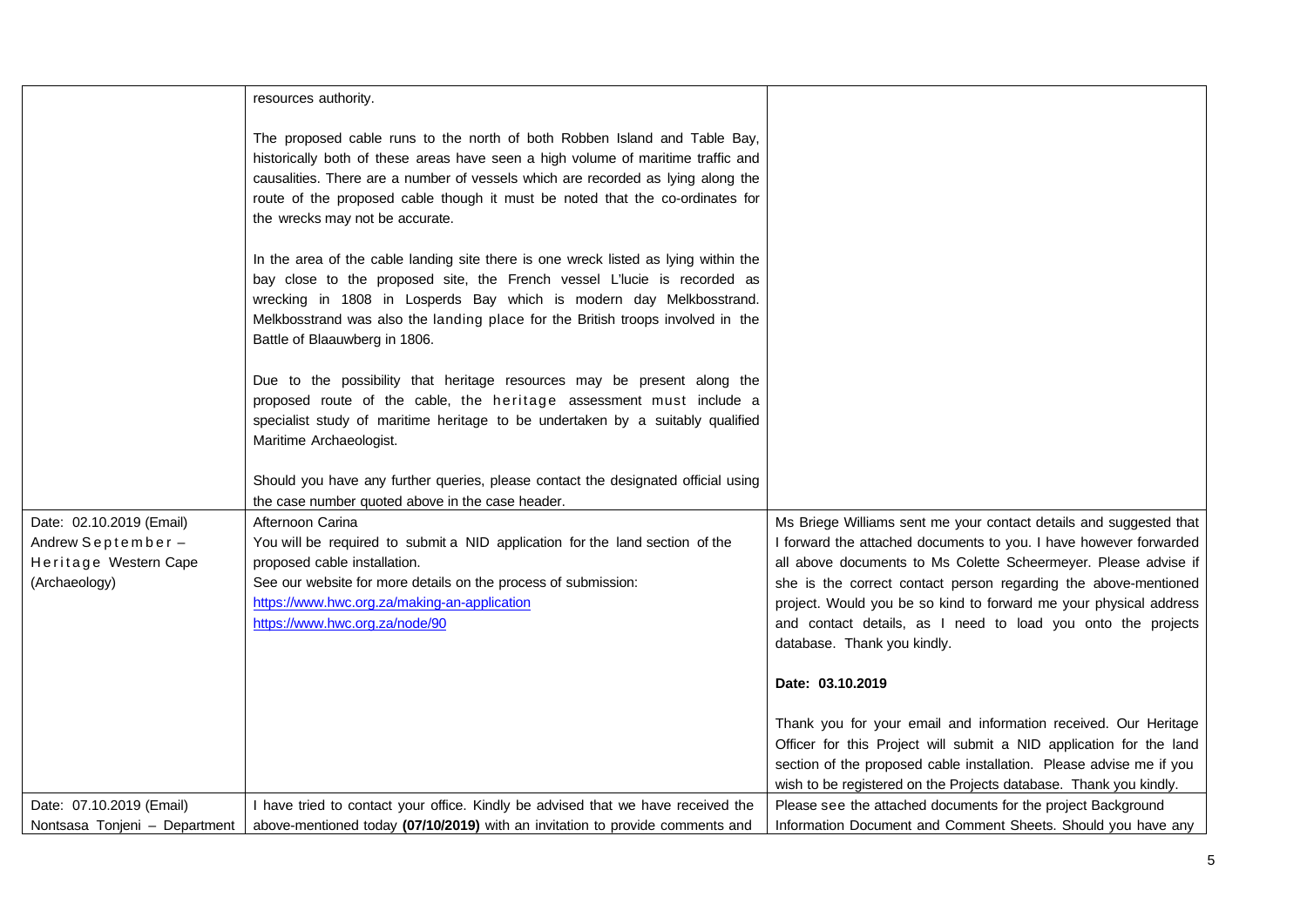|                               | resources authority.                                                                                                                                                                                                                                                                                                                                                  |                                                                                             |
|-------------------------------|-----------------------------------------------------------------------------------------------------------------------------------------------------------------------------------------------------------------------------------------------------------------------------------------------------------------------------------------------------------------------|---------------------------------------------------------------------------------------------|
|                               | The proposed cable runs to the north of both Robben Island and Table Bay,<br>historically both of these areas have seen a high volume of maritime traffic and<br>causalities. There are a number of vessels which are recorded as lying along the<br>route of the proposed cable though it must be noted that the co-ordinates for<br>the wrecks may not be accurate. |                                                                                             |
|                               | In the area of the cable landing site there is one wreck listed as lying within the<br>bay close to the proposed site, the French vessel L'Iucie is recorded as<br>wrecking in 1808 in Losperds Bay which is modern day Melkbosstrand.<br>Melkbosstrand was also the landing place for the British troops involved in the<br>Battle of Blaauwberg in 1806.            |                                                                                             |
|                               | Due to the possibility that heritage resources may be present along the<br>proposed route of the cable, the heritage assessment must include a<br>specialist study of maritime heritage to be undertaken by a suitably qualified<br>Maritime Archaeologist.                                                                                                           |                                                                                             |
|                               | Should you have any further queries, please contact the designated official using<br>the case number quoted above in the case header.                                                                                                                                                                                                                                 |                                                                                             |
| Date: 02.10.2019 (Email)      | Afternoon Carina                                                                                                                                                                                                                                                                                                                                                      | Ms Briege Williams sent me your contact details and suggested that                          |
| Andrew September-             | You will be required to submit a NID application for the land section of the                                                                                                                                                                                                                                                                                          | I forward the attached documents to you. I have however forwarded                           |
| Heritage Western Cape         | proposed cable installation.                                                                                                                                                                                                                                                                                                                                          | all above documents to Ms Colette Scheermeyer. Please advise if                             |
| (Archaeology)                 | See our website for more details on the process of submission:                                                                                                                                                                                                                                                                                                        | she is the correct contact person regarding the above-mentioned                             |
|                               | https://www.hwc.org.za/making-an-application                                                                                                                                                                                                                                                                                                                          | project. Would you be so kind to forward me your physical address                           |
|                               | https://www.hwc.org.za/node/90                                                                                                                                                                                                                                                                                                                                        | and contact details, as I need to load you onto the projects<br>database. Thank you kindly. |
|                               |                                                                                                                                                                                                                                                                                                                                                                       | Date: 03.10.2019                                                                            |
|                               |                                                                                                                                                                                                                                                                                                                                                                       | Thank you for your email and information received. Our Heritage                             |
|                               |                                                                                                                                                                                                                                                                                                                                                                       | Officer for this Project will submit a NID application for the land                         |
|                               |                                                                                                                                                                                                                                                                                                                                                                       | section of the proposed cable installation. Please advise me if you                         |
|                               |                                                                                                                                                                                                                                                                                                                                                                       | wish to be registered on the Projects database. Thank you kindly.                           |
| Date: 07.10.2019 (Email)      | I have tried to contact your office. Kindly be advised that we have received the                                                                                                                                                                                                                                                                                      | Please see the attached documents for the project Background                                |
| Nontsasa Tonjeni - Department | above-mentioned today (07/10/2019) with an invitation to provide comments and                                                                                                                                                                                                                                                                                         | Information Document and Comment Sheets. Should you have any                                |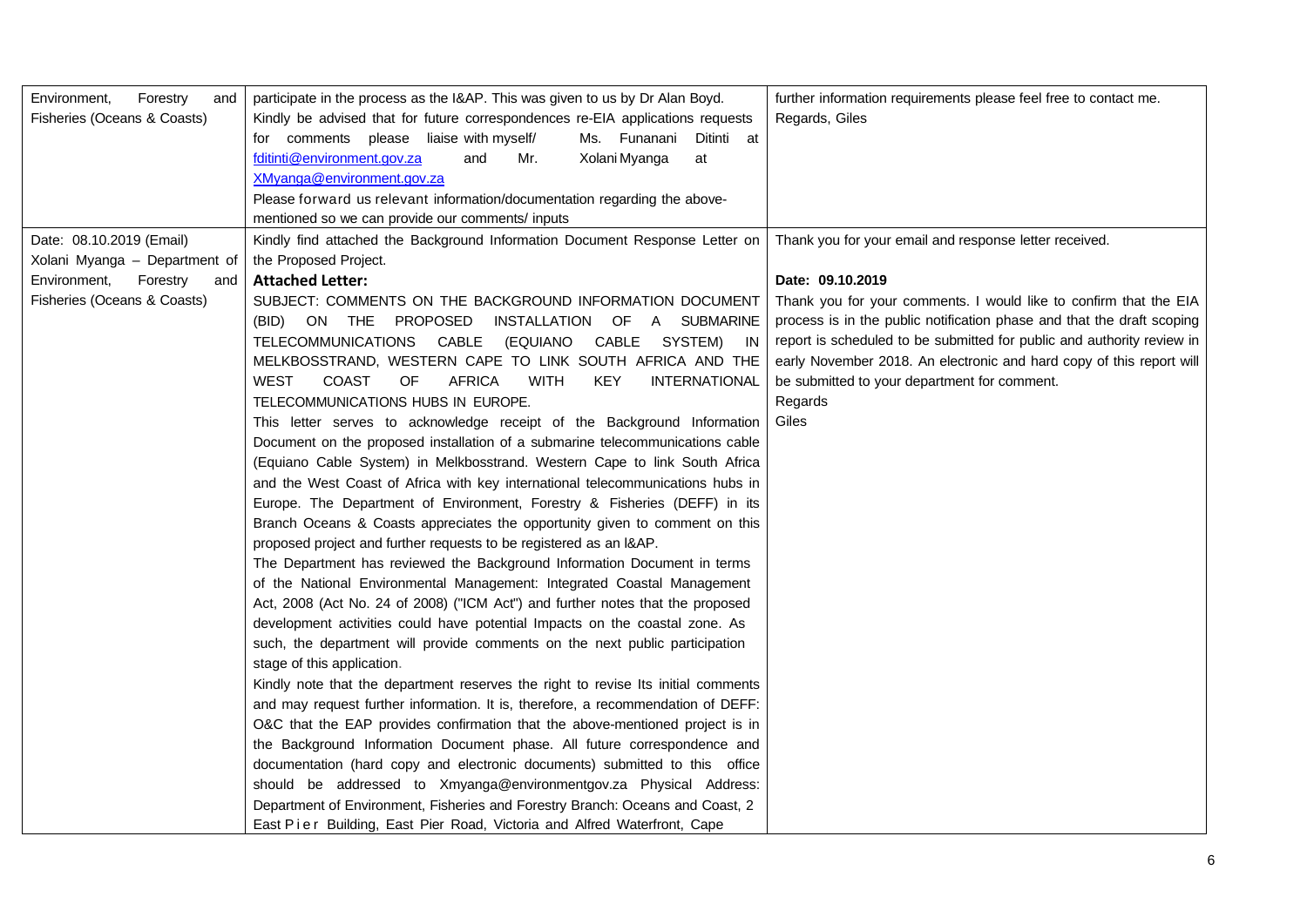| Forestry<br>Environment,<br>and<br>Fisheries (Oceans & Coasts) | participate in the process as the I&AP. This was given to us by Dr Alan Boyd.<br>Kindly be advised that for future correspondences re-EIA applications requests<br>for comments please liaise with myself/<br>Ms. Funanani<br>Ditinti at<br>Xolani Myanga<br>fditinti@environment.gov.za<br>and<br>Mr.<br>at<br>XMyanga@environment.gov.za<br>Please forward us relevant information/documentation regarding the above-<br>mentioned so we can provide our comments/ inputs | further information requirements please feel free to contact me.<br>Regards, Giles |
|----------------------------------------------------------------|-----------------------------------------------------------------------------------------------------------------------------------------------------------------------------------------------------------------------------------------------------------------------------------------------------------------------------------------------------------------------------------------------------------------------------------------------------------------------------|------------------------------------------------------------------------------------|
| Date: 08.10.2019 (Email)                                       | Kindly find attached the Background Information Document Response Letter on                                                                                                                                                                                                                                                                                                                                                                                                 | Thank you for your email and response letter received.                             |
| Xolani Myanga - Department of                                  | the Proposed Project.                                                                                                                                                                                                                                                                                                                                                                                                                                                       |                                                                                    |
| Environment,<br>Forestry<br>and                                | <b>Attached Letter:</b>                                                                                                                                                                                                                                                                                                                                                                                                                                                     | Date: 09.10.2019                                                                   |
| Fisheries (Oceans & Coasts)                                    | SUBJECT: COMMENTS ON THE BACKGROUND INFORMATION DOCUMENT                                                                                                                                                                                                                                                                                                                                                                                                                    | Thank you for your comments. I would like to confirm that the EIA                  |
|                                                                | INSTALLATION OF A SUBMARINE<br>(BID) ON THE PROPOSED                                                                                                                                                                                                                                                                                                                                                                                                                        | process is in the public notification phase and that the draft scoping             |
|                                                                | CABLE<br>TELECOMMUNICATIONS<br>(EQUIANO<br>CABLE<br>SYSTEM) IN                                                                                                                                                                                                                                                                                                                                                                                                              | report is scheduled to be submitted for public and authority review in             |
|                                                                | MELKBOSSTRAND, WESTERN CAPE TO LINK SOUTH AFRICA AND THE                                                                                                                                                                                                                                                                                                                                                                                                                    | early November 2018. An electronic and hard copy of this report will               |
|                                                                | <b>WEST</b><br>OF<br><b>AFRICA</b><br><b>WITH</b><br><b>KEY</b><br><b>INTERNATIONAL</b><br><b>COAST</b>                                                                                                                                                                                                                                                                                                                                                                     | be submitted to your department for comment.                                       |
|                                                                | TELECOMMUNICATIONS HUBS IN EUROPE.                                                                                                                                                                                                                                                                                                                                                                                                                                          | Regards                                                                            |
|                                                                | This letter serves to acknowledge receipt of the Background Information                                                                                                                                                                                                                                                                                                                                                                                                     | Giles                                                                              |
|                                                                | Document on the proposed installation of a submarine telecommunications cable                                                                                                                                                                                                                                                                                                                                                                                               |                                                                                    |
|                                                                | (Equiano Cable System) in Melkbosstrand. Western Cape to link South Africa                                                                                                                                                                                                                                                                                                                                                                                                  |                                                                                    |
|                                                                | and the West Coast of Africa with key international telecommunications hubs in                                                                                                                                                                                                                                                                                                                                                                                              |                                                                                    |
|                                                                | Europe. The Department of Environment, Forestry & Fisheries (DEFF) in its                                                                                                                                                                                                                                                                                                                                                                                                   |                                                                                    |
|                                                                | Branch Oceans & Coasts appreciates the opportunity given to comment on this                                                                                                                                                                                                                                                                                                                                                                                                 |                                                                                    |
|                                                                | proposed project and further requests to be registered as an I&AP.                                                                                                                                                                                                                                                                                                                                                                                                          |                                                                                    |
|                                                                | The Department has reviewed the Background Information Document in terms                                                                                                                                                                                                                                                                                                                                                                                                    |                                                                                    |
|                                                                | of the National Environmental Management: Integrated Coastal Management                                                                                                                                                                                                                                                                                                                                                                                                     |                                                                                    |
|                                                                | Act, 2008 (Act No. 24 of 2008) ("ICM Act") and further notes that the proposed                                                                                                                                                                                                                                                                                                                                                                                              |                                                                                    |
|                                                                | development activities could have potential Impacts on the coastal zone. As                                                                                                                                                                                                                                                                                                                                                                                                 |                                                                                    |
|                                                                | such, the department will provide comments on the next public participation<br>stage of this application.                                                                                                                                                                                                                                                                                                                                                                   |                                                                                    |
|                                                                | Kindly note that the department reserves the right to revise Its initial comments                                                                                                                                                                                                                                                                                                                                                                                           |                                                                                    |
|                                                                | and may request further information. It is, therefore, a recommendation of DEFF:                                                                                                                                                                                                                                                                                                                                                                                            |                                                                                    |
|                                                                | O&C that the EAP provides confirmation that the above-mentioned project is in                                                                                                                                                                                                                                                                                                                                                                                               |                                                                                    |
|                                                                | the Background Information Document phase. All future correspondence and                                                                                                                                                                                                                                                                                                                                                                                                    |                                                                                    |
|                                                                | documentation (hard copy and electronic documents) submitted to this office                                                                                                                                                                                                                                                                                                                                                                                                 |                                                                                    |
|                                                                | should be addressed to Xmyanga@environmentgov.za Physical Address:                                                                                                                                                                                                                                                                                                                                                                                                          |                                                                                    |
|                                                                | Department of Environment, Fisheries and Forestry Branch: Oceans and Coast, 2                                                                                                                                                                                                                                                                                                                                                                                               |                                                                                    |
|                                                                | East Pier Building, East Pier Road, Victoria and Alfred Waterfront, Cape                                                                                                                                                                                                                                                                                                                                                                                                    |                                                                                    |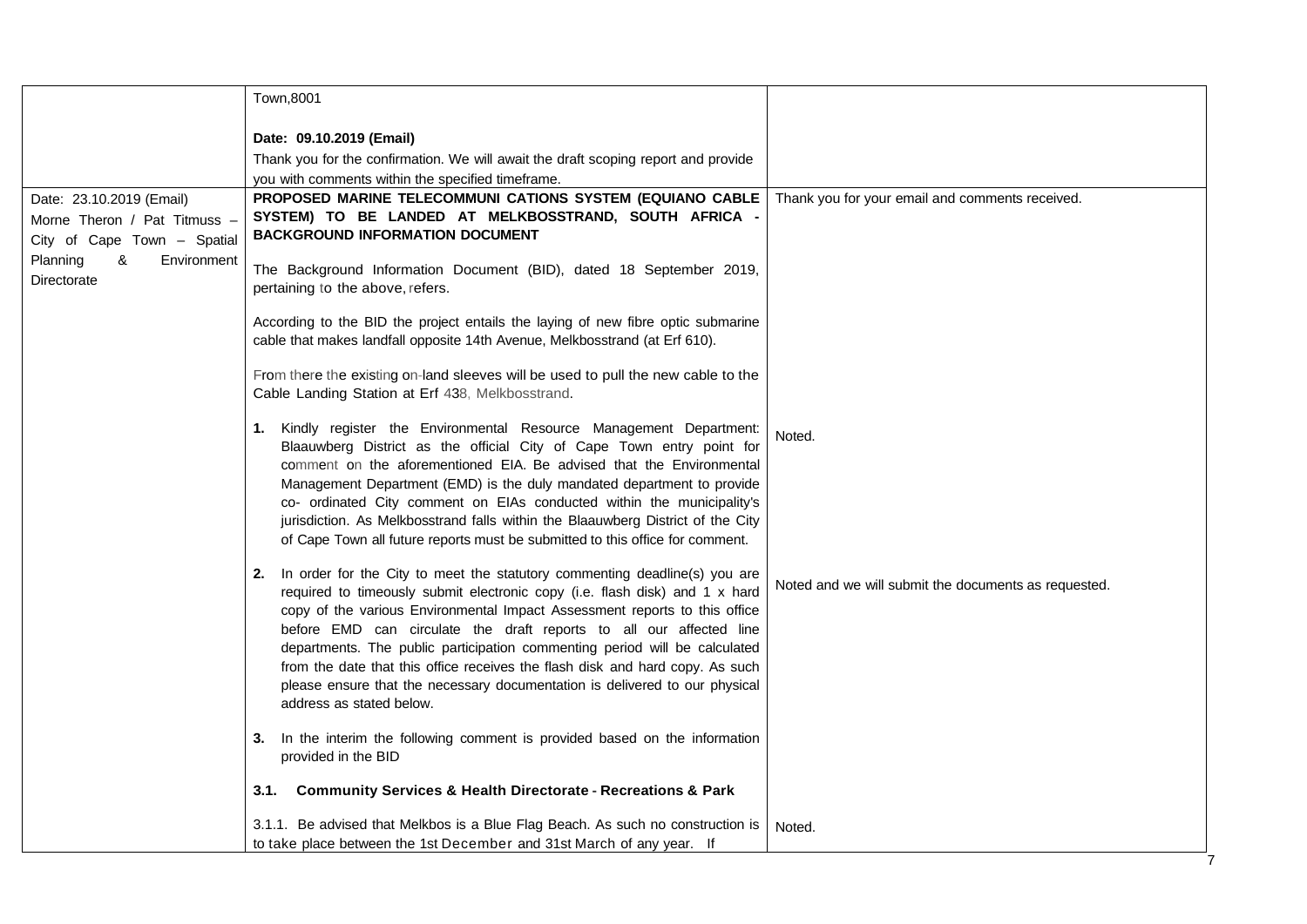|                              | Town,8001                                                                                                                                                    |                                                      |
|------------------------------|--------------------------------------------------------------------------------------------------------------------------------------------------------------|------------------------------------------------------|
|                              | Date: 09.10.2019 (Email)                                                                                                                                     |                                                      |
|                              | Thank you for the confirmation. We will await the draft scoping report and provide                                                                           |                                                      |
|                              | you with comments within the specified timeframe.                                                                                                            |                                                      |
| Date: 23.10.2019 (Email)     | PROPOSED MARINE TELECOMMUNI CATIONS SYSTEM (EQUIANO CABLE                                                                                                    | Thank you for your email and comments received.      |
| Morne Theron / Pat Titmuss - | SYSTEM) TO BE LANDED AT MELKBOSSTRAND, SOUTH AFRICA -                                                                                                        |                                                      |
| City of Cape Town - Spatial  | <b>BACKGROUND INFORMATION DOCUMENT</b>                                                                                                                       |                                                      |
| Planning<br>&<br>Environment | The Background Information Document (BID), dated 18 September 2019,                                                                                          |                                                      |
| Directorate                  | pertaining to the above, refers.                                                                                                                             |                                                      |
|                              |                                                                                                                                                              |                                                      |
|                              | According to the BID the project entails the laying of new fibre optic submarine                                                                             |                                                      |
|                              | cable that makes landfall opposite 14th Avenue, Melkbosstrand (at Erf 610).                                                                                  |                                                      |
|                              | From there the existing on-land sleeves will be used to pull the new cable to the                                                                            |                                                      |
|                              | Cable Landing Station at Erf 438, Melkbosstrand.                                                                                                             |                                                      |
|                              |                                                                                                                                                              |                                                      |
|                              | 1. Kindly register the Environmental Resource Management Department:                                                                                         | Noted.                                               |
|                              | Blaauwberg District as the official City of Cape Town entry point for<br>comment on the aforementioned EIA. Be advised that the Environmental                |                                                      |
|                              | Management Department (EMD) is the duly mandated department to provide                                                                                       |                                                      |
|                              | co- ordinated City comment on EIAs conducted within the municipality's                                                                                       |                                                      |
|                              | jurisdiction. As Melkbosstrand falls within the Blaauwberg District of the City                                                                              |                                                      |
|                              | of Cape Town all future reports must be submitted to this office for comment.                                                                                |                                                      |
|                              | 2. In order for the City to meet the statutory commenting deadline(s) you are                                                                                |                                                      |
|                              | required to timeously submit electronic copy (i.e. flash disk) and 1 x hard                                                                                  | Noted and we will submit the documents as requested. |
|                              | copy of the various Environmental Impact Assessment reports to this office                                                                                   |                                                      |
|                              | before EMD can circulate the draft reports to all our affected line                                                                                          |                                                      |
|                              | departments. The public participation commenting period will be calculated                                                                                   |                                                      |
|                              | from the date that this office receives the flash disk and hard copy. As such<br>please ensure that the necessary documentation is delivered to our physical |                                                      |
|                              | address as stated below.                                                                                                                                     |                                                      |
|                              |                                                                                                                                                              |                                                      |
|                              | In the interim the following comment is provided based on the information<br>3.                                                                              |                                                      |
|                              | provided in the BID                                                                                                                                          |                                                      |
|                              | <b>Community Services &amp; Health Directorate - Recreations &amp; Park</b><br>3.1.                                                                          |                                                      |
|                              | 3.1.1. Be advised that Melkbos is a Blue Flag Beach. As such no construction is                                                                              | Noted.                                               |
|                              | to take place between the 1st December and 31st March of any year. If                                                                                        |                                                      |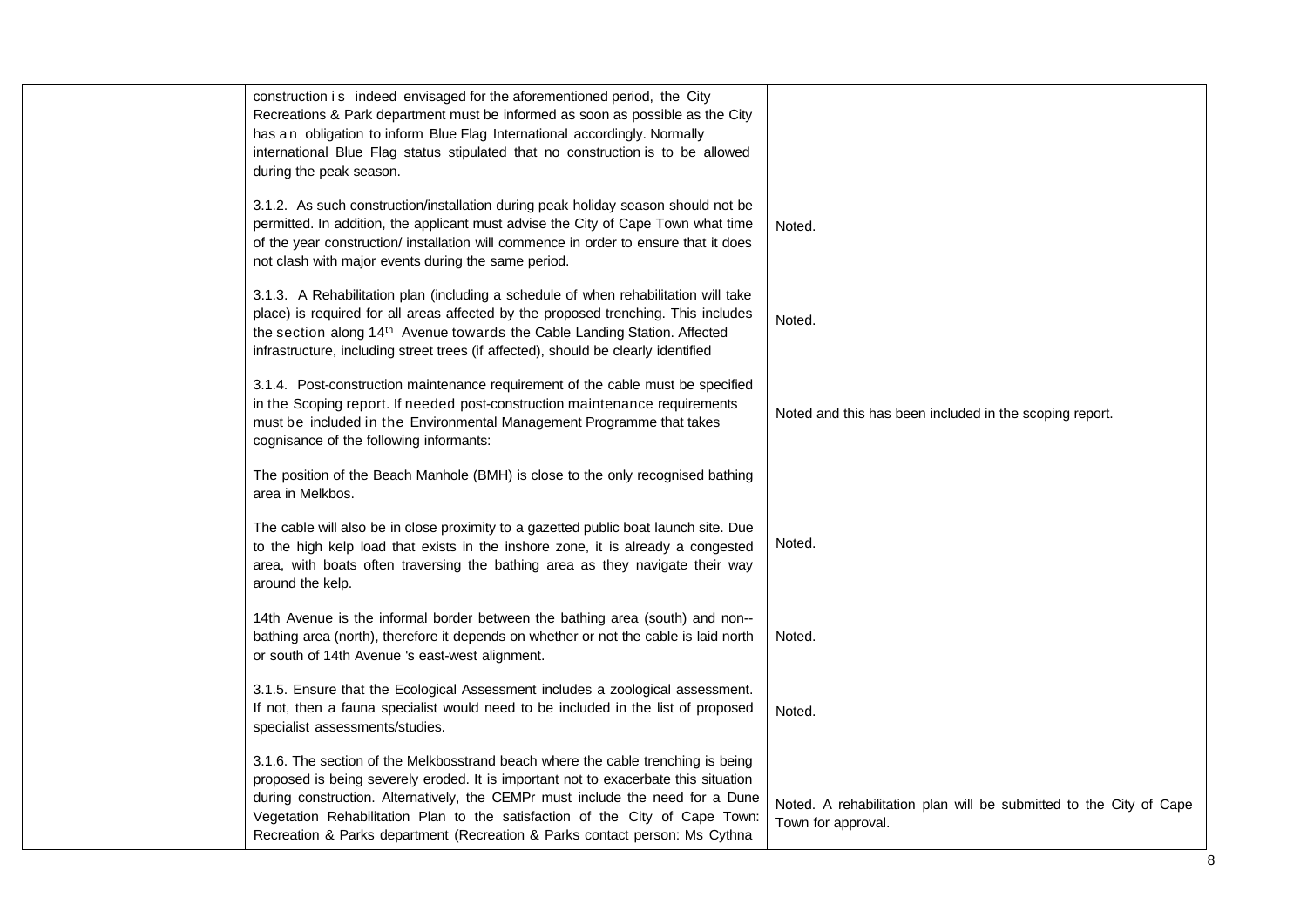| construction is indeed envisaged for the aforementioned period, the City<br>Recreations & Park department must be informed as soon as possible as the City<br>has an obligation to inform Blue Flag International accordingly. Normally<br>international Blue Flag status stipulated that no construction is to be allowed<br>during the peak season.                                                                    |                                                                                          |
|--------------------------------------------------------------------------------------------------------------------------------------------------------------------------------------------------------------------------------------------------------------------------------------------------------------------------------------------------------------------------------------------------------------------------|------------------------------------------------------------------------------------------|
| 3.1.2. As such construction/installation during peak holiday season should not be<br>permitted. In addition, the applicant must advise the City of Cape Town what time<br>of the year construction/ installation will commence in order to ensure that it does<br>not clash with major events during the same period.                                                                                                    | Noted.                                                                                   |
| 3.1.3. A Rehabilitation plan (including a schedule of when rehabilitation will take<br>place) is required for all areas affected by the proposed trenching. This includes<br>the section along 14 <sup>th</sup> Avenue towards the Cable Landing Station. Affected<br>infrastructure, including street trees (if affected), should be clearly identified                                                                 | Noted.                                                                                   |
| 3.1.4. Post-construction maintenance requirement of the cable must be specified<br>in the Scoping report. If needed post-construction maintenance requirements<br>must be included in the Environmental Management Programme that takes<br>cognisance of the following informants:                                                                                                                                       | Noted and this has been included in the scoping report.                                  |
| The position of the Beach Manhole (BMH) is close to the only recognised bathing<br>area in Melkbos.                                                                                                                                                                                                                                                                                                                      |                                                                                          |
| The cable will also be in close proximity to a gazetted public boat launch site. Due<br>to the high kelp load that exists in the inshore zone, it is already a congested<br>area, with boats often traversing the bathing area as they navigate their way<br>around the kelp.                                                                                                                                            | Noted.                                                                                   |
| 14th Avenue is the informal border between the bathing area (south) and non--<br>bathing area (north), therefore it depends on whether or not the cable is laid north<br>or south of 14th Avenue 's east-west alignment.                                                                                                                                                                                                 | Noted.                                                                                   |
| 3.1.5. Ensure that the Ecological Assessment includes a zoological assessment.<br>If not, then a fauna specialist would need to be included in the list of proposed<br>specialist assessments/studies.                                                                                                                                                                                                                   | Noted.                                                                                   |
| 3.1.6. The section of the Melkbosstrand beach where the cable trenching is being<br>proposed is being severely eroded. It is important not to exacerbate this situation<br>during construction. Alternatively, the CEMPr must include the need for a Dune<br>Vegetation Rehabilitation Plan to the satisfaction of the City of Cape Town:<br>Recreation & Parks department (Recreation & Parks contact person: Ms Cythna | Noted. A rehabilitation plan will be submitted to the City of Cape<br>Town for approval. |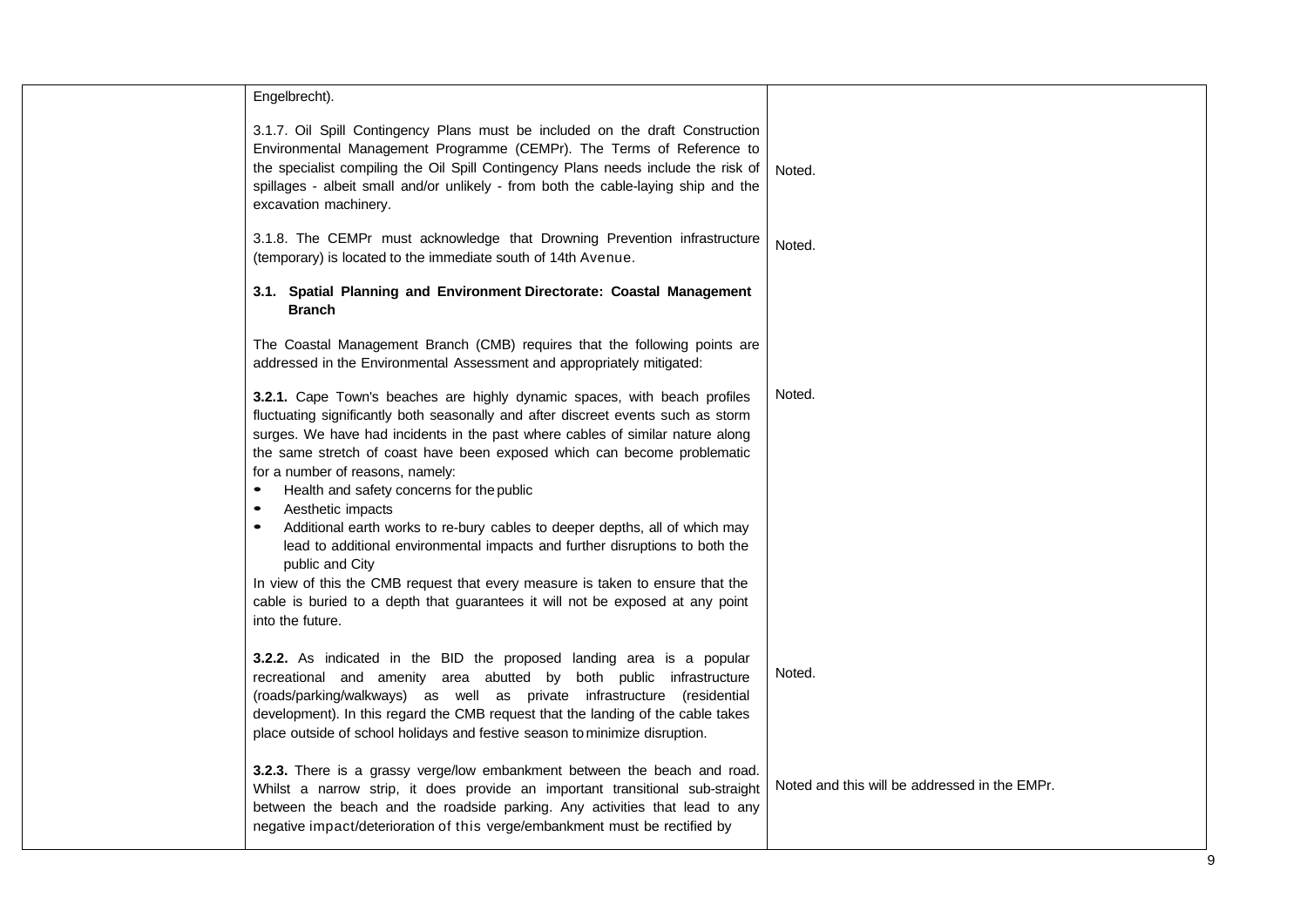| Engelbrecht).                                                                                                                                                                                                                                                                                                                                                                              |                                               |
|--------------------------------------------------------------------------------------------------------------------------------------------------------------------------------------------------------------------------------------------------------------------------------------------------------------------------------------------------------------------------------------------|-----------------------------------------------|
| 3.1.7. Oil Spill Contingency Plans must be included on the draft Construction<br>Environmental Management Programme (CEMPr). The Terms of Reference to<br>the specialist compiling the Oil Spill Contingency Plans needs include the risk of<br>spillages - albeit small and/or unlikely - from both the cable-laying ship and the<br>excavation machinery.                                | Noted.                                        |
| 3.1.8. The CEMPr must acknowledge that Drowning Prevention infrastructure<br>(temporary) is located to the immediate south of 14th Avenue.                                                                                                                                                                                                                                                 | Noted.                                        |
| 3.1. Spatial Planning and Environment Directorate: Coastal Management<br><b>Branch</b>                                                                                                                                                                                                                                                                                                     |                                               |
| The Coastal Management Branch (CMB) requires that the following points are<br>addressed in the Environmental Assessment and appropriately mitigated:                                                                                                                                                                                                                                       |                                               |
| 3.2.1. Cape Town's beaches are highly dynamic spaces, with beach profiles<br>fluctuating significantly both seasonally and after discreet events such as storm<br>surges. We have had incidents in the past where cables of similar nature along<br>the same stretch of coast have been exposed which can become problematic                                                               | Noted.                                        |
| for a number of reasons, namely:<br>$\bullet$                                                                                                                                                                                                                                                                                                                                              |                                               |
| Health and safety concerns for the public<br>Aesthetic impacts<br>$\bullet$                                                                                                                                                                                                                                                                                                                |                                               |
| Additional earth works to re-bury cables to deeper depths, all of which may<br>$\bullet$<br>lead to additional environmental impacts and further disruptions to both the<br>public and City                                                                                                                                                                                                |                                               |
| In view of this the CMB request that every measure is taken to ensure that the                                                                                                                                                                                                                                                                                                             |                                               |
| cable is buried to a depth that guarantees it will not be exposed at any point<br>into the future.                                                                                                                                                                                                                                                                                         |                                               |
| 3.2.2. As indicated in the BID the proposed landing area is a popular<br>recreational and amenity area abutted by both public infrastructure<br>(roads/parking/walkways) as well as private infrastructure (residential<br>development). In this regard the CMB request that the landing of the cable takes<br>place outside of school holidays and festive season to minimize disruption. | Noted.                                        |
| 3.2.3. There is a grassy verge/low embankment between the beach and road.<br>Whilst a narrow strip, it does provide an important transitional sub-straight<br>between the beach and the roadside parking. Any activities that lead to any<br>negative impact/deterioration of this verge/embankment must be rectified by                                                                   | Noted and this will be addressed in the EMPr. |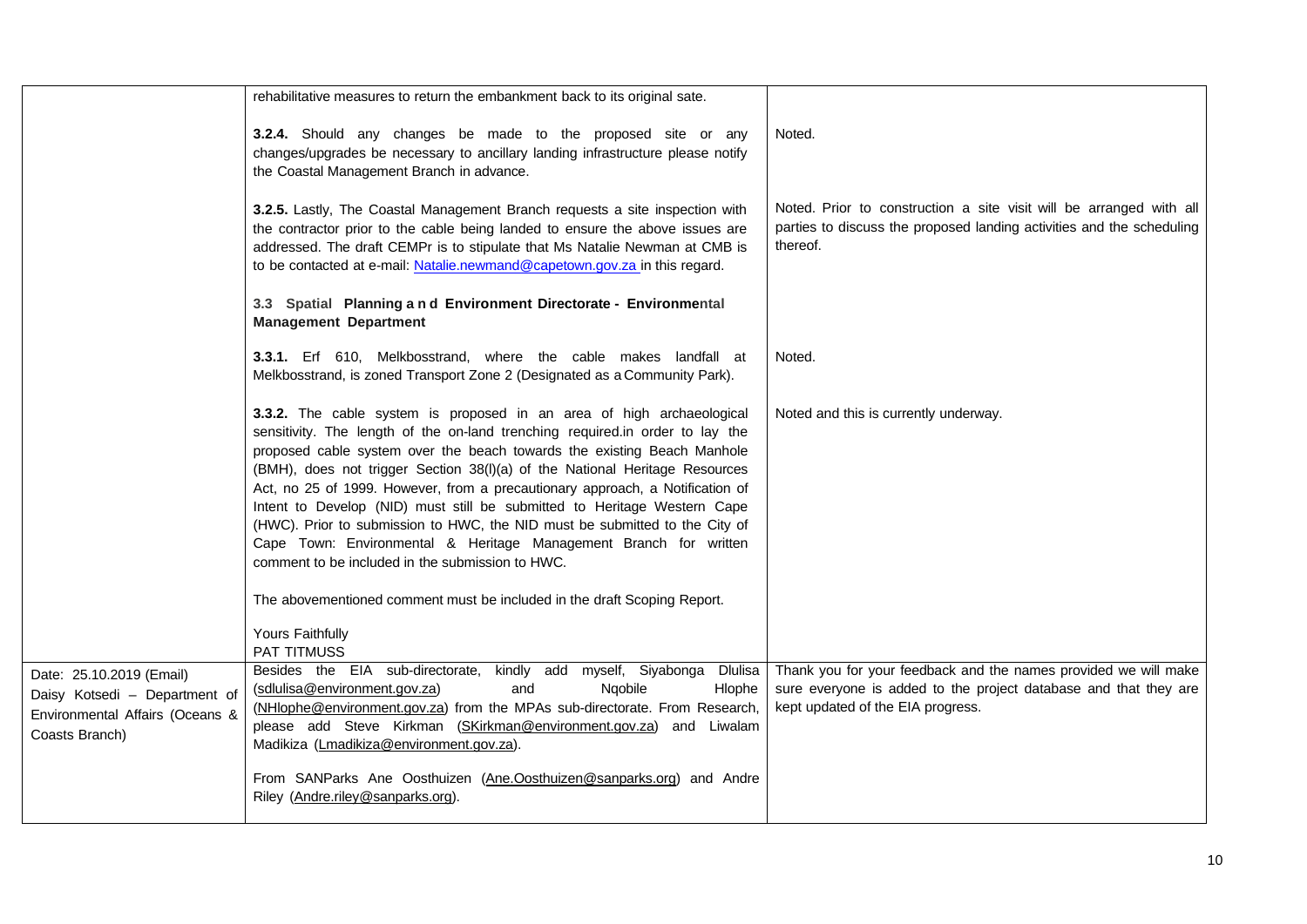|                                                                                                                | rehabilitative measures to return the embankment back to its original sate.                                                                                                                                                                                                                                                                                                                                                                                                                                                                                                                                                                                                           |                                                                                                                                                                          |
|----------------------------------------------------------------------------------------------------------------|---------------------------------------------------------------------------------------------------------------------------------------------------------------------------------------------------------------------------------------------------------------------------------------------------------------------------------------------------------------------------------------------------------------------------------------------------------------------------------------------------------------------------------------------------------------------------------------------------------------------------------------------------------------------------------------|--------------------------------------------------------------------------------------------------------------------------------------------------------------------------|
|                                                                                                                | 3.2.4. Should any changes be made to the proposed site or any<br>changes/upgrades be necessary to ancillary landing infrastructure please notify<br>the Coastal Management Branch in advance.                                                                                                                                                                                                                                                                                                                                                                                                                                                                                         | Noted.                                                                                                                                                                   |
|                                                                                                                | 3.2.5. Lastly, The Coastal Management Branch requests a site inspection with<br>the contractor prior to the cable being landed to ensure the above issues are<br>addressed. The draft CEMPr is to stipulate that Ms Natalie Newman at CMB is<br>to be contacted at e-mail: Natalie.newmand@capetown.gov.za in this regard.                                                                                                                                                                                                                                                                                                                                                            | Noted. Prior to construction a site visit will be arranged with all<br>parties to discuss the proposed landing activities and the scheduling<br>thereof.                 |
|                                                                                                                | 3.3 Spatial Planning a n d Environment Directorate - Environmental<br><b>Management Department</b>                                                                                                                                                                                                                                                                                                                                                                                                                                                                                                                                                                                    |                                                                                                                                                                          |
|                                                                                                                | 3.3.1. Erf 610, Melkbosstrand, where the cable makes landfall at<br>Melkbosstrand, is zoned Transport Zone 2 (Designated as a Community Park).                                                                                                                                                                                                                                                                                                                                                                                                                                                                                                                                        | Noted.                                                                                                                                                                   |
|                                                                                                                | 3.3.2. The cable system is proposed in an area of high archaeological<br>sensitivity. The length of the on-land trenching required.in order to lay the<br>proposed cable system over the beach towards the existing Beach Manhole<br>(BMH), does not trigger Section 38(I)(a) of the National Heritage Resources<br>Act, no 25 of 1999. However, from a precautionary approach, a Notification of<br>Intent to Develop (NID) must still be submitted to Heritage Western Cape<br>(HWC). Prior to submission to HWC, the NID must be submitted to the City of<br>Cape Town: Environmental & Heritage Management Branch for written<br>comment to be included in the submission to HWC. | Noted and this is currently underway.                                                                                                                                    |
|                                                                                                                | The abovementioned comment must be included in the draft Scoping Report.                                                                                                                                                                                                                                                                                                                                                                                                                                                                                                                                                                                                              |                                                                                                                                                                          |
|                                                                                                                | Yours Faithfully<br><b>PAT TITMUSS</b>                                                                                                                                                                                                                                                                                                                                                                                                                                                                                                                                                                                                                                                |                                                                                                                                                                          |
| Date: 25.10.2019 (Email)<br>Daisy Kotsedi - Department of<br>Environmental Affairs (Oceans &<br>Coasts Branch) | Besides the EIA sub-directorate, kindly add myself, Siyabonga<br>Dlulisa<br>(sdlulisa@environment.gov.za)<br>and<br>Ngobile<br>Hlophe<br>(NHlophe@environment.gov.za) from the MPAs sub-directorate. From Research,<br>please add Steve Kirkman (SKirkman@environment.gov.za) and Liwalam<br>Madikiza (Lmadikiza@environment.gov.za).                                                                                                                                                                                                                                                                                                                                                 | Thank you for your feedback and the names provided we will make<br>sure everyone is added to the project database and that they are<br>kept updated of the EIA progress. |
|                                                                                                                | From SANParks Ane Oosthuizen (Ane.Oosthuizen@sanparks.org) and Andre<br>Riley (Andre.riley@sanparks.org).                                                                                                                                                                                                                                                                                                                                                                                                                                                                                                                                                                             |                                                                                                                                                                          |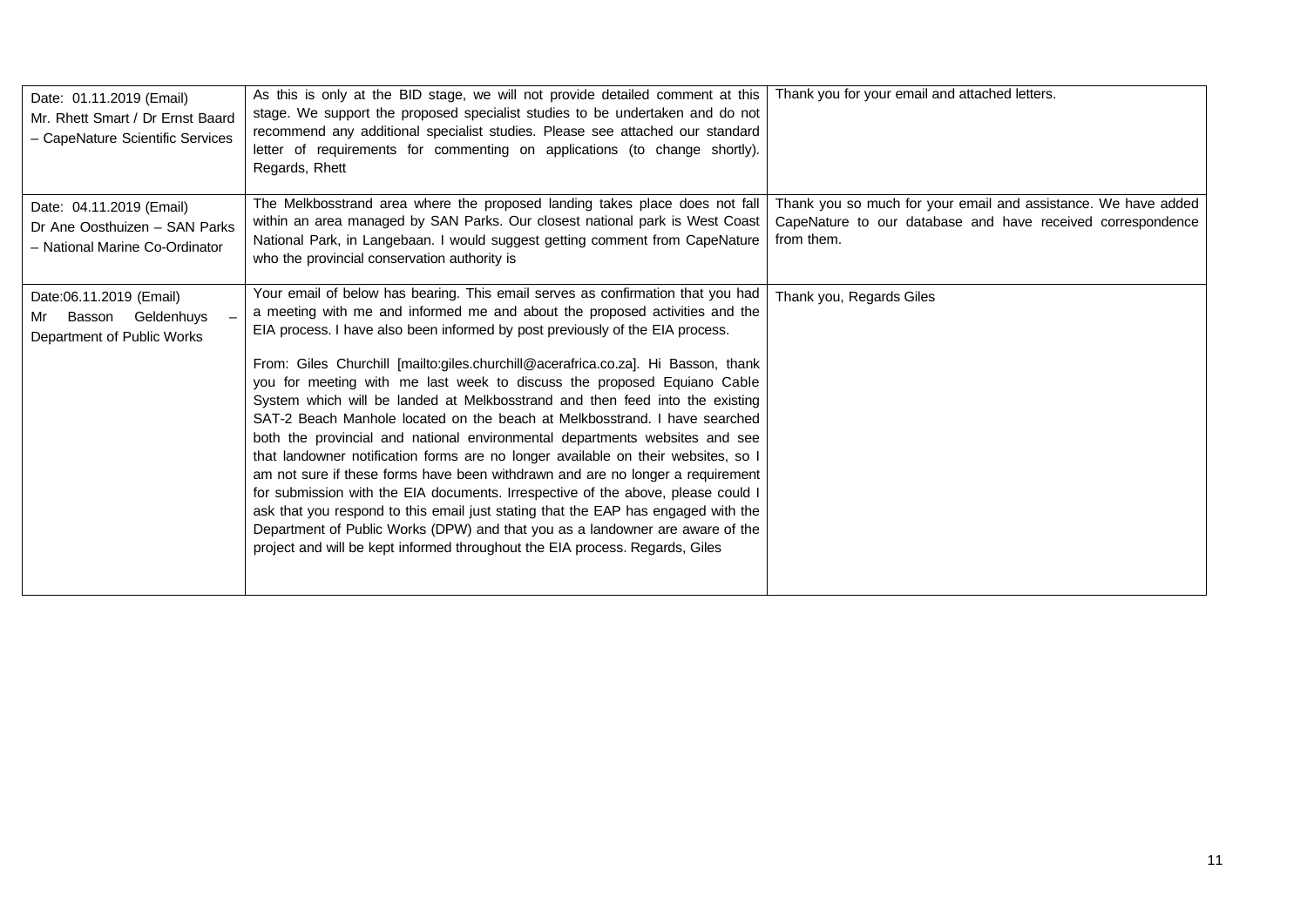| Date: 01.11.2019 (Email)<br>Mr. Rhett Smart / Dr Ernst Baard<br>- CapeNature Scientific Services | As this is only at the BID stage, we will not provide detailed comment at this<br>stage. We support the proposed specialist studies to be undertaken and do not<br>recommend any additional specialist studies. Please see attached our standard<br>letter of requirements for commenting on applications (to change shortly).<br>Regards, Rhett                                                                                                                                                                                                                                                                                                                                                                                                                                                                                                                                                                                                                                                                                                                                                                                                                              | Thank you for your email and attached letters.                                                                                              |
|--------------------------------------------------------------------------------------------------|-------------------------------------------------------------------------------------------------------------------------------------------------------------------------------------------------------------------------------------------------------------------------------------------------------------------------------------------------------------------------------------------------------------------------------------------------------------------------------------------------------------------------------------------------------------------------------------------------------------------------------------------------------------------------------------------------------------------------------------------------------------------------------------------------------------------------------------------------------------------------------------------------------------------------------------------------------------------------------------------------------------------------------------------------------------------------------------------------------------------------------------------------------------------------------|---------------------------------------------------------------------------------------------------------------------------------------------|
| Date: 04.11.2019 (Email)<br>Dr Ane Oosthuizen - SAN Parks<br>- National Marine Co-Ordinator      | The Melkbosstrand area where the proposed landing takes place does not fall<br>within an area managed by SAN Parks. Our closest national park is West Coast<br>National Park, in Langebaan. I would suggest getting comment from CapeNature<br>who the provincial conservation authority is                                                                                                                                                                                                                                                                                                                                                                                                                                                                                                                                                                                                                                                                                                                                                                                                                                                                                   | Thank you so much for your email and assistance. We have added<br>CapeNature to our database and have received correspondence<br>from them. |
| Date:06.11.2019 (Email)<br>Geldenhuys<br>Basson<br>Mr<br>Department of Public Works              | Your email of below has bearing. This email serves as confirmation that you had<br>a meeting with me and informed me and about the proposed activities and the<br>EIA process. I have also been informed by post previously of the EIA process.<br>From: Giles Churchill [mailto:giles.churchill@acerafrica.co.za]. Hi Basson, thank<br>you for meeting with me last week to discuss the proposed Equiano Cable<br>System which will be landed at Melkbosstrand and then feed into the existing<br>SAT-2 Beach Manhole located on the beach at Melkbosstrand. I have searched<br>both the provincial and national environmental departments websites and see<br>that landowner notification forms are no longer available on their websites, so I<br>am not sure if these forms have been withdrawn and are no longer a requirement<br>for submission with the EIA documents. Irrespective of the above, please could I<br>ask that you respond to this email just stating that the EAP has engaged with the<br>Department of Public Works (DPW) and that you as a landowner are aware of the<br>project and will be kept informed throughout the EIA process. Regards, Giles | Thank you, Regards Giles                                                                                                                    |